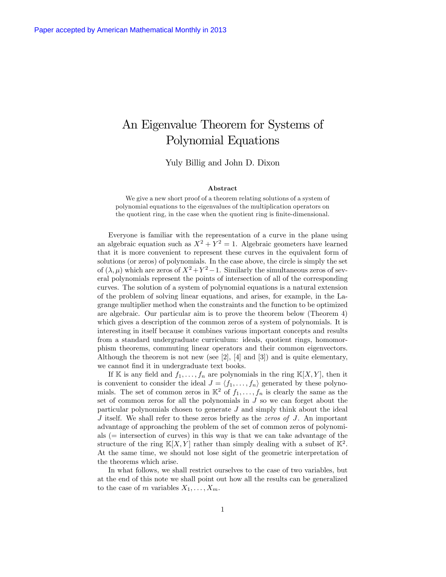# An Eigenvalue Theorem for Systems of Polynomial Equations

Yuly Billig and John D. Dixon

#### Abstract

We give a new short proof of a theorem relating solutions of a system of polynomial equations to the eigenvalues of the multiplication operators on the quotient ring, in the case when the quotient ring is finite-dimensional.

Everyone is familiar with the representation of a curve in the plane using an algebraic equation such as  $X^2 + Y^2 = 1$ . Algebraic geometers have learned that it is more convenient to represent these curves in the equivalent form of solutions (or zeros) of polynomials. In the case above, the circle is simply the set of  $(\lambda, \mu)$  which are zeros of  $X^2 + Y^2 - 1$ . Similarly the simultaneous zeros of several polynomials represent the points of intersection of all of the corresponding curves. The solution of a system of polynomial equations is a natural extension of the problem of solving linear equations, and arises, for example, in the Lagrange multiplier method when the constraints and the function to be optimized are algebraic. Our particular aim is to prove the theorem below (Theorem 4) which gives a description of the common zeros of a system of polynomials. It is interesting in itself because it combines various important concepts and results from a standard undergraduate curriculum: ideals, quotient rings, homomorphism theorems, commuting linear operators and their common eigenvectors. Although the theorem is not new (see [2], [4] and [3]) and is quite elementary, we cannot find it in undergraduate text books.

If K is any field and  $f_1, \ldots, f_n$  are polynomials in the ring  $\mathbb{K}[X, Y]$ , then it is convenient to consider the ideal  $J = \langle f_1, \ldots, f_n \rangle$  generated by these polynomials. The set of common zeros in  $\mathbb{K}^2$  of  $f_1, \ldots, f_n$  is clearly the same as the set of common zeros for all the polynomials in  $J$  so we can forget about the particular polynomials chosen to generate J and simply think about the ideal  $J$  itself. We shall refer to these zeros briefly as the *zeros of*  $J$ . An important advantage of approaching the problem of the set of common zeros of polynomials (= intersection of curves) in this way is that we can take advantage of the structure of the ring  $\mathbb{K}[X, Y]$  rather than simply dealing with a subset of  $\mathbb{K}^2$ . At the same time, we should not lose sight of the geometric interpretation of the theorems which arise.

In what follows, we shall restrict ourselves to the case of two variables, but at the end of this note we shall point out how all the results can be generalized to the case of m variables  $X_1, \ldots, X_m$ .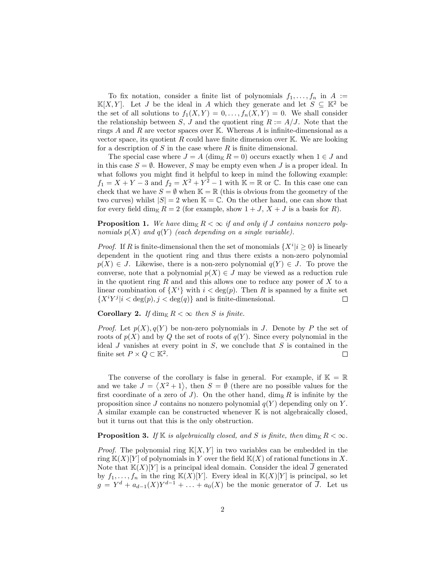To fix notation, consider a finite list of polynomials  $f_1, \ldots, f_n$  in  $A :=$  $\mathbb{K}[X, Y]$ . Let J be the ideal in A which they generate and let  $S \subseteq \mathbb{K}^2$  be the set of all solutions to  $f_1(X,Y) = 0, \ldots, f_n(X,Y) = 0$ . We shall consider the relationship between S, J and the quotient ring  $R := A/J$ . Note that the rings A and R are vector spaces over K. Whereas A is infinite-dimensional as a vector space, its quotient  $R$  could have finite dimension over  $\mathbb{K}$ . We are looking for a description of  $S$  in the case where  $R$  is finite dimensional.

The special case where  $J = A$  (dim<sub>K</sub>  $R = 0$ ) occurs exactly when  $1 \in J$  and in this case  $S = \emptyset$ . However, S may be empty even when J is a proper ideal. In what follows you might find it helpful to keep in mind the following example:  $f_1 = X + Y - 3$  and  $f_2 = X^2 + Y^2 - 1$  with  $\mathbb{K} = \mathbb{R}$  or  $\mathbb{C}$ . In this case one can check that we have  $S = \emptyset$  when  $\mathbb{K} = \mathbb{R}$  (this is obvious from the geometry of the two curves) whilst  $|S| = 2$  when  $\mathbb{K} = \mathbb{C}$ . On the other hand, one can show that for every field dim<sub>K</sub>  $R = 2$  (for example, show  $1 + J$ ,  $X + J$  is a basis for R).

**Proposition 1.** We have dim<sub>K</sub>  $R < \infty$  if and only if J contains nonzero polynomials  $p(X)$  and  $q(Y)$  (each depending on a single variable).

*Proof.* If R is finite-dimensional then the set of monomials  $\{X^i | i \geq 0\}$  is linearly dependent in the quotient ring and thus there exists a non-zero polynomial  $p(X) \in J$ . Likewise, there is a non-zero polynomial  $q(Y) \in J$ . To prove the converse, note that a polynomial  $p(X) \in J$  may be viewed as a reduction rule in the quotient ring  $R$  and and this allows one to reduce any power of  $X$  to a linear combination of  $\{X^i\}$  with  $i < \deg(p)$ . Then R is spanned by a finite set  $\{X^iY^j|i < \deg(p), j < \deg(q)\}\$  and is finite-dimensional.  $\{X^iY^j|i \lt \deg(p), j \lt \deg(q)\}\$ and is finite-dimensional.

Corollary 2. If  $\dim_{\mathbb{K}} R < \infty$  then S is finite.

*Proof.* Let  $p(X), q(Y)$  be non-zero polynomials in J. Denote by P the set of roots of  $p(X)$  and by Q the set of roots of  $q(Y)$ . Since every polynomial in the ideal J vanishes at every point in  $S$ , we conclude that  $S$  is contained in the finite set  $P \times Q \subset \mathbb{K}^2$ .  $\Box$ 

The converse of the corollary is false in general. For example, if  $\mathbb{K} = \mathbb{R}$ and we take  $J = \langle X^2 + 1 \rangle$ , then  $S = \emptyset$  (there are no possible values for the first coordinate of a zero of J). On the other hand,  $\dim_{\mathbb{R}} R$  is infinite by the proposition since J contains no nonzero polynomial  $q(Y)$  depending only on Y. A similar example can be constructed whenever K is not algebraically closed, but it turns out that this is the only obstruction.

### **Proposition 3.** If  $\mathbb{K}$  is algebraically closed, and S is finite, then dim<sub>K</sub>  $R < \infty$ .

*Proof.* The polynomial ring  $\mathbb{K}[X, Y]$  in two variables can be embedded in the ring  $K(X)[Y]$  of polynomials in Y over the field  $K(X)$  of rational functions in X. Note that  $K(X)[Y]$  is a principal ideal domain. Consider the ideal  $\overline{J}$  generated by  $f_1, \ldots, f_n$  in the ring  $\mathbb{K}(X)[Y]$ . Every ideal in  $\mathbb{K}(X)[Y]$  is principal, so let  $g = Y^d + a_{d-1}(X)Y^{d-1} + \ldots + a_0(X)$  be the monic generator of  $\overline{J}$ . Let us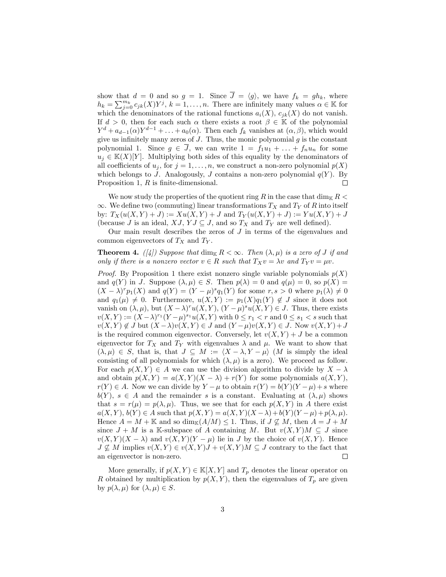show that  $d = 0$  and so  $g = 1$ . Since  $\overline{J} = \langle g \rangle$ , we have  $f_k = gh_k$ , where  $h_k = \sum_{j=0}^{m_k} c_{jk}(X) Y^j, k = 1, \ldots, n$ . There are infinitely many values  $\alpha \in \mathbb{K}$  for which the denominators of the rational functions  $a_i(X)$ ,  $c_{jk}(X)$  do not vanish. If  $d > 0$ , then for each such  $\alpha$  there exists a root  $\beta \in \mathbb{K}$  of the polynomial  $Y^{d} + a_{d-1}(\alpha)Y^{d-1} + \ldots + a_{0}(\alpha)$ . Then each  $f_k$  vanishes at  $(\alpha, \beta)$ , which would give us infinitely many zeros of  $J$ . Thus, the monic polynomial  $g$  is the constant polynomial 1. Since  $g \in \overline{J}$ , we can write  $1 = f_1u_1 + \ldots + f_nu_n$  for some  $u_i \in K(X)[Y]$ . Multiplying both sides of this equality by the denominators of all coefficients of  $u_j$ , for  $j = 1, ..., n$ , we construct a non-zero polynomial  $p(X)$ which belongs to J. Analogously, J contains a non-zero polynomial  $q(Y)$ . By Proposition 1,  $R$  is finite-dimensional.  $\Box$ 

We now study the properties of the quotient ring R in the case that  $\dim_{\mathbb{K}} R$  $\infty$ . We define two (commuting) linear transformations  $T_X$  and  $T_Y$  of R into itself by:  $T_X(u(X, Y) + J) := Xu(X, Y) + J$  and  $T_Y(u(X, Y) + J) := Yu(X, Y) + J$ (because J is an ideal,  $XJ$ ,  $YJ \subseteq J$ , and so  $T_X$  and  $T_Y$  are well defined).

Our main result describes the zeros of  $J$  in terms of the eigenvalues and common eigenvectors of  $T_X$  and  $T_Y$ .

**Theorem 4.** ([4]) Suppose that  $\dim_{\mathbb{K}} R < \infty$ . Then  $(\lambda, \mu)$  is a zero of J if and only if there is a nonzero vector  $v \in R$  such that  $T_X v = \lambda v$  and  $T_Y v = \mu v$ .

*Proof.* By Proposition 1 there exist nonzero single variable polynomials  $p(X)$ and  $q(Y)$  in J. Suppose  $(\lambda, \mu) \in S$ . Then  $p(\lambda) = 0$  and  $q(\mu) = 0$ , so  $p(X) =$  $(X - \lambda)^r p_1(X)$  and  $q(Y) = (Y - \mu)^s q_1(Y)$  for some  $r, s > 0$  where  $p_1(\lambda) \neq 0$ and  $q_1(\mu) \neq 0$ . Furthermore,  $u(X,Y) := p_1(X)q_1(Y) \notin J$  since it does not vanish on  $(\lambda, \mu)$ , but  $(X - \lambda)^r u(X, Y)$ ,  $(Y - \mu)^s u(X, Y) \in J$ . Thus, there exists  $v(X,Y) := (X - \lambda)^{r_1} (Y - \mu)^{s_1} u(X,Y)$  with  $0 \leq r_1 < r$  and  $0 \leq s_1 < s$  such that  $v(X,Y) \notin J$  but  $(X - \lambda)v(X,Y) \in J$  and  $(Y - \mu)v(X,Y) \in J$ . Now  $v(X,Y) + J$ is the required common eigenvector. Conversely, let  $v(X, Y) + J$  be a common eigenvector for  $T_X$  and  $T_Y$  with eigenvalues  $\lambda$  and  $\mu$ . We want to show that  $(\lambda, \mu) \in S$ , that is, that  $J \subseteq M := \langle X - \lambda, Y - \mu \rangle$  (M is simply the ideal consisting of all polynomials for which  $(\lambda, \mu)$  is a zero). We proceed as follow. For each  $p(X,Y) \in A$  we can use the division algorithm to divide by  $X - \lambda$ and obtain  $p(X,Y) = a(X,Y)(X - \lambda) + r(Y)$  for some polynomials  $a(X,Y)$ ,  $r(Y) \in A$ . Now we can divide by  $Y - \mu$  to obtain  $r(Y) = b(Y)(Y - \mu) + s$  where  $b(Y)$ ,  $s \in A$  and the remainder s is a constant. Evaluating at  $(\lambda, \mu)$  shows that  $s = r(\mu) = p(\lambda, \mu)$ . Thus, we see that for each  $p(X, Y)$  in A there exist  $a(X,Y)$ ,  $b(Y) \in A$  such that  $p(X,Y) = a(X,Y)(X-\lambda) + b(Y)(Y-\mu) + p(\lambda, \mu)$ . Hence  $A = M + \mathbb{K}$  and so  $\dim_{\mathbb{K}}(A/M) \leq 1$ . Thus, if  $J \nsubseteq M$ , then  $A = J + M$ since  $J + M$  is a K-subspace of A containing M. But  $v(X, Y)M \subseteq J$  since  $v(X,Y)(X-\lambda)$  and  $v(X,Y)(Y-\mu)$  lie in J by the choice of  $v(X,Y)$ . Hence  $J \nsubseteq M$  implies  $v(X, Y) \in v(X, Y)J + v(X, Y)M \subseteq J$  contrary to the fact that an eigenvector is non-zero. an eigenvector is non-zero.

More generally, if  $p(X,Y) \in K[X, Y]$  and  $T_p$  denotes the linear operator on R obtained by multiplication by  $p(X, Y)$ , then the eigenvalues of  $T_p$  are given by  $p(\lambda, \mu)$  for  $(\lambda, \mu) \in S$ .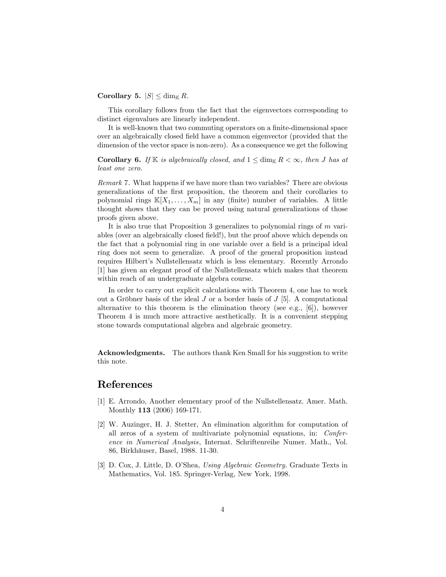#### Corollary 5.  $|S| \le \dim_{\mathbb{K}} R$ .

This corollary follows from the fact that the eigenvectors corresponding to distinct eigenvalues are linearly independent.

It is well-known that two commuting operators on a finite-dimensional space over an algebraically closed Öeld have a common eigenvector (provided that the dimension of the vector space is non-zero). As a consequence we get the following

**Corollary 6.** If  $\mathbb{K}$  is algebraically closed, and  $1 \le \dim_{\mathbb{K}} R < \infty$ , then J has at least one zero.

Remark 7. What happens if we have more than two variables? There are obvious generalizations of the first proposition, the theorem and their corollaries to polynomial rings  $\mathbb{K}[X_1,\ldots,X_m]$  in any (finite) number of variables. A little thought shows that they can be proved using natural generalizations of those proofs given above.

It is also true that Proposition 3 generalizes to polynomial rings of m variables (over an algebraically closed field!), but the proof above which depends on the fact that a polynomial ring in one variable over a field is a principal ideal ring does not seem to generalize. A proof of the general proposition instead requires Hilbert's Nullstellensatz which is less elementary. Recently Arrondo [1] has given an elegant proof of the Nullstellensatz which makes that theorem within reach of an undergraduate algebra course.

In order to carry out explicit calculations with Theorem 4, one has to work out a Gröbner basis of the ideal  $J$  or a border basis of  $J$  [5]. A computational alternative to this theorem is the elimination theory (see e.g.,  $[6]$ ), however Theorem 4 is much more attractive aesthetically. It is a convenient stepping stone towards computational algebra and algebraic geometry.

Acknowledgments. The authors thank Ken Small for his suggestion to write this note.

## References

- [1] E. Arrondo, Another elementary proof of the Nullstellensatz. Amer. Math. Monthly 113 (2006) 169-171.
- [2] W. Auzinger, H. J. Stetter, An elimination algorithm for computation of all zeros of a system of multivariate polynomial equations, in: Conference in Numerical Analysis, Internat. Schriftenreihe Numer. Math., Vol. 86, Birkhäuser, Basel, 1988. 11-30.
- [3] D. Cox, J. Little, D. O'Shea, Using Algebraic Geometry. Graduate Texts in Mathematics, Vol. 185. Springer-Verlag, New York, 1998.